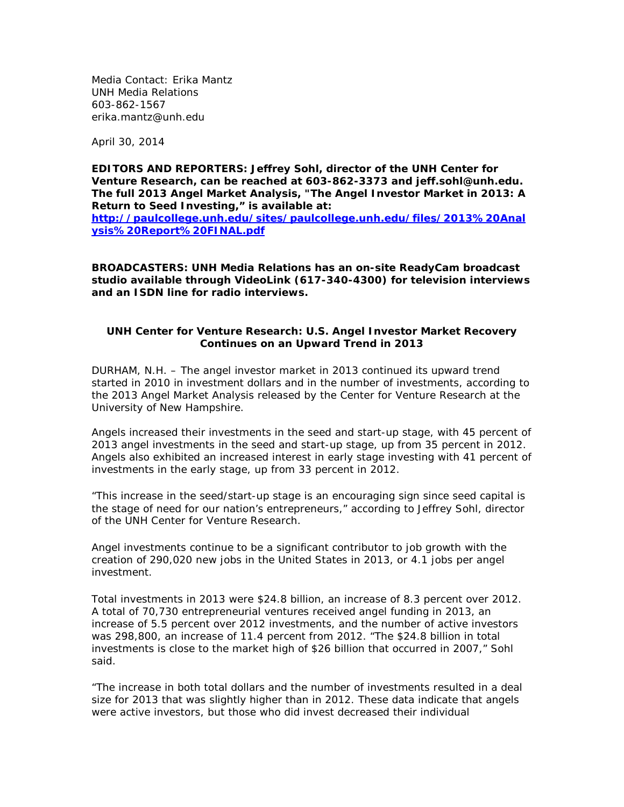Media Contact: Erika Mantz UNH Media Relations 603-862-1567 erika.mantz@unh.edu

April 30, 2014

**EDITORS AND REPORTERS: Jeffrey Sohl, director of the UNH Center for Venture Research, can be reached at 603-862-3373 and [jeff.sohl@unh.edu.](mailto:jesohl@christa.unh.edu) The full 2013 Angel Market Analysis, "The Angel Investor Market in 2013: A Return to Seed Investing," is available at:**

**[http://paulcollege.unh.edu/sites/paulcollege.unh.edu/files/2013%20Anal](http://paulcollege.unh.edu/sites/paulcollege.unh.edu/files/2013%20Analysis%20Report%20FINAL.pdf) [ysis%20Report%20FINAL.pdf](http://paulcollege.unh.edu/sites/paulcollege.unh.edu/files/2013%20Analysis%20Report%20FINAL.pdf)**

**BROADCASTERS: UNH Media Relations has an on-site ReadyCam broadcast studio available through VideoLink (617-340-4300) for television interviews and an ISDN line for radio interviews.**

## **UNH Center for Venture Research: U.S. Angel Investor Market Recovery Continues on an Upward Trend in 2013**

DURHAM, N.H. – The angel investor market in 2013 continued its upward trend started in 2010 in investment dollars and in the number of investments, according to the 2013 Angel Market Analysis released by the Center for Venture Research at the University of New Hampshire.

Angels increased their investments in the seed and start-up stage, with 45 percent of 2013 angel investments in the seed and start-up stage, up from 35 percent in 2012. Angels also exhibited an increased interest in early stage investing with 41 percent of investments in the early stage, up from 33 percent in 2012.

"This increase in the seed/start-up stage is an encouraging sign since seed capital is the stage of need for our nation's entrepreneurs," according to Jeffrey Sohl, director of the UNH Center for Venture Research.

Angel investments continue to be a significant contributor to job growth with the creation of 290,020 new jobs in the United States in 2013, or 4.1 jobs per angel investment.

Total investments in 2013 were \$24.8 billion, an increase of 8.3 percent over 2012. A total of 70,730 entrepreneurial ventures received angel funding in 2013, an increase of 5.5 percent over 2012 investments, and the number of active investors was 298,800, an increase of 11.4 percent from 2012. "The \$24.8 billion in total investments is close to the market high of \$26 billion that occurred in 2007," Sohl said.

"The increase in both total dollars and the number of investments resulted in a deal size for 2013 that was slightly higher than in 2012. These data indicate that angels were active investors, but those who did invest decreased their individual